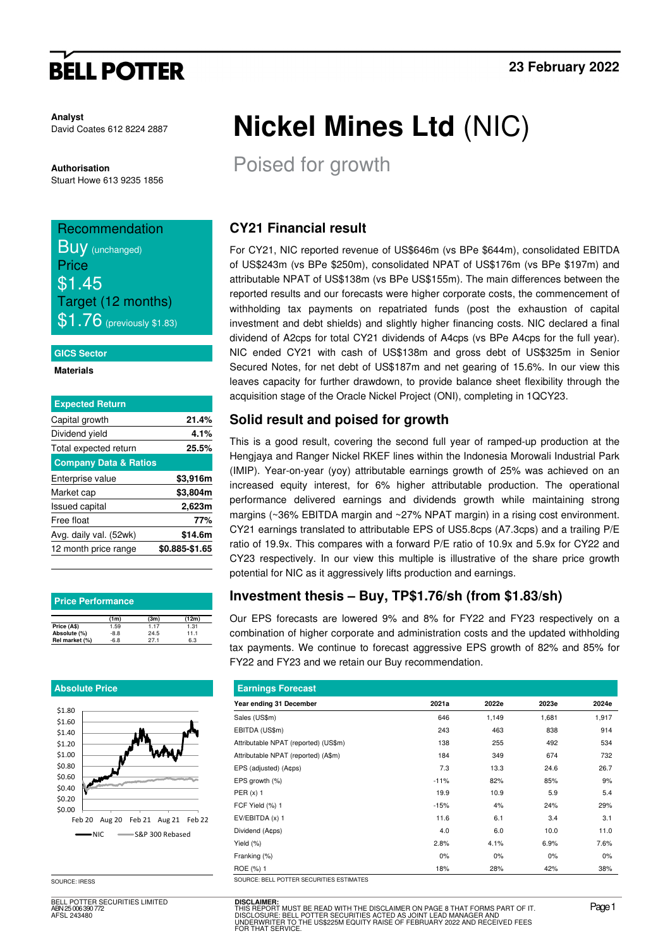# **BELL POTTER**

**Analyst**  David Coates 612 8224 2887

**Authorisation**  Stuart Howe 613 9235 1856

## Recommendation **BUV** (unchanged) **Price** \$1.45 Target (12 months)  $$1.76$  (previously \$1.83)

#### **GICS Sector**

**Materials** 

| <b>Expected Return</b>           |                |
|----------------------------------|----------------|
| Capital growth                   | 21.4%          |
| Dividend yield                   | 4.1%           |
| Total expected return            | 25.5%          |
| <b>Company Data &amp; Ratios</b> |                |
| Enterprise value                 | \$3,916m       |
| Market cap                       | \$3,804m       |
| <b>Issued capital</b>            | 2,623m         |
| Free float                       | 77%            |
| Avg. daily val. (52wk)           | \$14.6m        |
| 12 month price range             | \$0.885-\$1.65 |
|                                  |                |

| <b>Price Performance</b> |        |      |       |  |  |  |  |  |
|--------------------------|--------|------|-------|--|--|--|--|--|
|                          | (1m)   | (3m) | (12m) |  |  |  |  |  |
| Price (A\$)              | 1.59   | 1.17 | 1.31  |  |  |  |  |  |
| Absolute (%)             | $-8.8$ | 24.5 | 11.1  |  |  |  |  |  |
| Rel market (%)           | $-6.8$ | 27.1 | 6.3   |  |  |  |  |  |

#### **Absolute Price**



SOURCE: IRESS

BELL POTTER SECURITIES LIMITED ABN 25 006 390 772 AFSL 243480

# **Nickel Mines Ltd** (NIC)

Poised for growth

## **CY21 Financial result**

For CY21, NIC reported revenue of US\$646m (vs BPe \$644m), consolidated EBITDA of US\$243m (vs BPe \$250m), consolidated NPAT of US\$176m (vs BPe \$197m) and attributable NPAT of US\$138m (vs BPe US\$155m). The main differences between the reported results and our forecasts were higher corporate costs, the commencement of withholding tax payments on repatriated funds (post the exhaustion of capital investment and debt shields) and slightly higher financing costs. NIC declared a final dividend of A2cps for total CY21 dividends of A4cps (vs BPe A4cps for the full year). NIC ended CY21 with cash of US\$138m and gross debt of US\$325m in Senior Secured Notes, for net debt of US\$187m and net gearing of 15.6%. In our view this leaves capacity for further drawdown, to provide balance sheet flexibility through the acquisition stage of the Oracle Nickel Project (ONI), completing in 1QCY23.

### **Solid result and poised for growth**

This is a good result, covering the second full year of ramped-up production at the Hengjaya and Ranger Nickel RKEF lines within the Indonesia Morowali Industrial Park (IMIP). Year-on-year (yoy) attributable earnings growth of 25% was achieved on an increased equity interest, for 6% higher attributable production. The operational performance delivered earnings and dividends growth while maintaining strong margins (~36% EBITDA margin and ~27% NPAT margin) in a rising cost environment. CY21 earnings translated to attributable EPS of US5.8cps (A7.3cps) and a trailing P/E ratio of 19.9x. This compares with a forward P/E ratio of 10.9x and 5.9x for CY22 and CY23 respectively. In our view this multiple is illustrative of the share price growth potential for NIC as it aggressively lifts production and earnings.

## **Investment thesis – Buy, TP\$1.76/sh (from \$1.83/sh)**

Our EPS forecasts are lowered 9% and 8% for FY22 and FY23 respectively on a combination of higher corporate and administration costs and the updated withholding tax payments. We continue to forecast aggressive EPS growth of 82% and 85% for FY22 and FY23 and we retain our Buy recommendation.

| <b>Earnings Forecast</b>                 |        |       |       |       |  |  |  |  |  |
|------------------------------------------|--------|-------|-------|-------|--|--|--|--|--|
| Year ending 31 December                  | 2021a  | 2022e | 2023e | 2024e |  |  |  |  |  |
| Sales (US\$m)                            | 646    | 1,149 | 1,681 | 1,917 |  |  |  |  |  |
| EBITDA (US\$m)                           | 243    | 463   | 838   | 914   |  |  |  |  |  |
| Attributable NPAT (reported) (US\$m)     | 138    | 255   | 492   | 534   |  |  |  |  |  |
| Attributable NPAT (reported) (A\$m)      | 184    | 349   | 674   | 732   |  |  |  |  |  |
| EPS (adjusted) (A¢ps)                    | 7.3    | 13.3  | 24.6  | 26.7  |  |  |  |  |  |
| EPS growth (%)                           | $-11%$ | 82%   | 85%   | 9%    |  |  |  |  |  |
| PER $(x)$ 1                              | 19.9   | 10.9  | 5.9   | 5.4   |  |  |  |  |  |
| FCF Yield (%) 1                          | $-15%$ | 4%    | 24%   | 29%   |  |  |  |  |  |
| EV/EBITDA (x) 1                          | 11.6   | 6.1   | 3.4   | 3.1   |  |  |  |  |  |
| Dividend (Acps)                          | 4.0    | 6.0   | 10.0  | 11.0  |  |  |  |  |  |
| Yield (%)                                | 2.8%   | 4.1%  | 6.9%  | 7.6%  |  |  |  |  |  |
| Franking (%)                             | 0%     | 0%    | 0%    | 0%    |  |  |  |  |  |
| ROE (%) 1                                | 18%    | 28%   | 42%   | 38%   |  |  |  |  |  |
| SOURCE: BELL POTTER SECURITIES ESTIMATES |        |       |       |       |  |  |  |  |  |

**DISCLAIMER:**<br>THIS REPORT MUST BE READ WITH THE DISCLAIMER ON PAGE 8 THAT FORMS PART OF IT.<br>DISCLOSURE: BELL POTTER SECURITIES ACTED AS JOINT LEAD MANAGER AND<br>UNDERWRITER TO THE US\$225M EQUITY RAISE OF FEBRUARY 2022 AND RE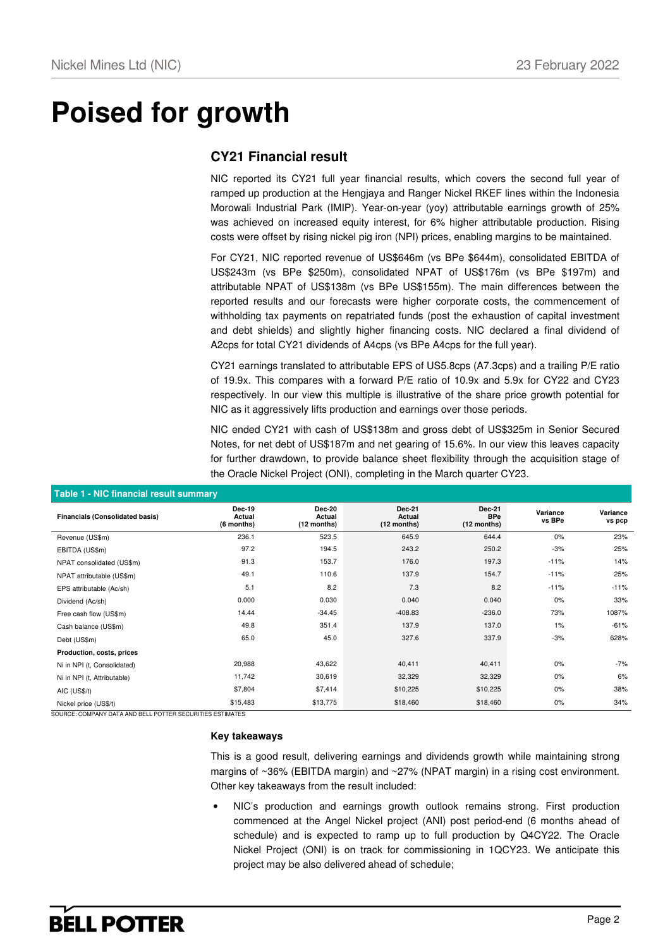# **Poised for growth**

### **CY21 Financial result**

NIC reported its CY21 full year financial results, which covers the second full year of ramped up production at the Hengjaya and Ranger Nickel RKEF lines within the Indonesia Morowali Industrial Park (IMIP). Year-on-year (yoy) attributable earnings growth of 25% was achieved on increased equity interest, for 6% higher attributable production. Rising costs were offset by rising nickel pig iron (NPI) prices, enabling margins to be maintained.

For CY21, NIC reported revenue of US\$646m (vs BPe \$644m), consolidated EBITDA of US\$243m (vs BPe \$250m), consolidated NPAT of US\$176m (vs BPe \$197m) and attributable NPAT of US\$138m (vs BPe US\$155m). The main differences between the reported results and our forecasts were higher corporate costs, the commencement of withholding tax payments on repatriated funds (post the exhaustion of capital investment and debt shields) and slightly higher financing costs. NIC declared a final dividend of A2cps for total CY21 dividends of A4cps (vs BPe A4cps for the full year).

CY21 earnings translated to attributable EPS of US5.8cps (A7.3cps) and a trailing P/E ratio of 19.9x. This compares with a forward P/E ratio of 10.9x and 5.9x for CY22 and CY23 respectively. In our view this multiple is illustrative of the share price growth potential for NIC as it aggressively lifts production and earnings over those periods.

NIC ended CY21 with cash of US\$138m and gross debt of US\$325m in Senior Secured Notes, for net debt of US\$187m and net gearing of 15.6%. In our view this leaves capacity for further drawdown, to provide balance sheet flexibility through the acquisition stage of the Oracle Nickel Project (ONI), completing in the March quarter CY23.

| Table T - Nic Imancial result summary  |                                       |                                 |                                          |                                       |                    |                    |  |  |  |  |  |
|----------------------------------------|---------------------------------------|---------------------------------|------------------------------------------|---------------------------------------|--------------------|--------------------|--|--|--|--|--|
| <b>Financials (Consolidated basis)</b> | <b>Dec-19</b><br>Actual<br>(6 months) | Dec-20<br>Actual<br>(12 months) | <b>Dec-21</b><br>Actual<br>$(12$ months) | Dec-21<br><b>BPe</b><br>$(12$ months) | Variance<br>vs BPe | Variance<br>vs pcp |  |  |  |  |  |
| Revenue (US\$m)                        | 236.1                                 | 523.5                           | 645.9                                    | 644.4                                 | 0%                 | 23%                |  |  |  |  |  |
| EBITDA (US\$m)                         | 97.2                                  | 194.5                           | 243.2                                    | 250.2                                 | $-3%$              | 25%                |  |  |  |  |  |
| NPAT consolidated (US\$m)              | 91.3                                  | 153.7                           | 176.0                                    | 197.3                                 | $-11%$             | 14%                |  |  |  |  |  |
| NPAT attributable (US\$m)              | 49.1                                  | 110.6                           | 137.9                                    | 154.7                                 | $-11%$             | 25%                |  |  |  |  |  |
| EPS attributable (Ac/sh)               | 5.1                                   | 8.2                             | 7.3                                      | 8.2                                   | $-11%$             | $-11%$             |  |  |  |  |  |
| Dividend (Ac/sh)                       | 0.000                                 | 0.030                           | 0.040                                    | 0.040                                 | 0%                 | 33%                |  |  |  |  |  |
| Free cash flow (US\$m)                 | 14.44                                 | $-34.45$                        | $-408.83$                                | $-236.0$                              | 73%                | 1087%              |  |  |  |  |  |
| Cash balance (US\$m)                   | 49.8                                  | 351.4                           | 137.9                                    | 137.0                                 | $1\%$              | $-61%$             |  |  |  |  |  |
| Debt (US\$m)                           | 65.0                                  | 45.0                            | 327.6                                    | 337.9                                 | $-3%$              | 628%               |  |  |  |  |  |
| Production, costs, prices              |                                       |                                 |                                          |                                       |                    |                    |  |  |  |  |  |
| Ni in NPI (t. Consolidated)            | 20,988                                | 43,622                          | 40,411                                   | 40,411                                | 0%                 | -7%                |  |  |  |  |  |
| Ni in NPI (t, Attributable)            | 11,742                                | 30,619                          | 32,329                                   | 32,329                                | 0%                 | 6%                 |  |  |  |  |  |
| AIC (US\$/t)                           | \$7,804                               | \$7,414                         | \$10,225                                 | \$10,225                              | 0%                 | 38%                |  |  |  |  |  |
| Nickel price (US\$/t)                  | \$15,483                              | \$13,775                        | \$18,460                                 | \$18,460                              | 0%                 | 34%                |  |  |  |  |  |

SOURCE: COMPANY DATA AND BELL POTTER SECURITIES ESTIMATES

#### **Key takeaways**

This is a good result, delivering earnings and dividends growth while maintaining strong margins of ~36% (EBITDA margin) and ~27% (NPAT margin) in a rising cost environment. Other key takeaways from the result included:

• NIC's production and earnings growth outlook remains strong. First production commenced at the Angel Nickel project (ANI) post period-end (6 months ahead of schedule) and is expected to ramp up to full production by Q4CY22. The Oracle Nickel Project (ONI) is on track for commissioning in 1QCY23. We anticipate this project may be also delivered ahead of schedule;

#### **Table 1 - NIC financial result summary**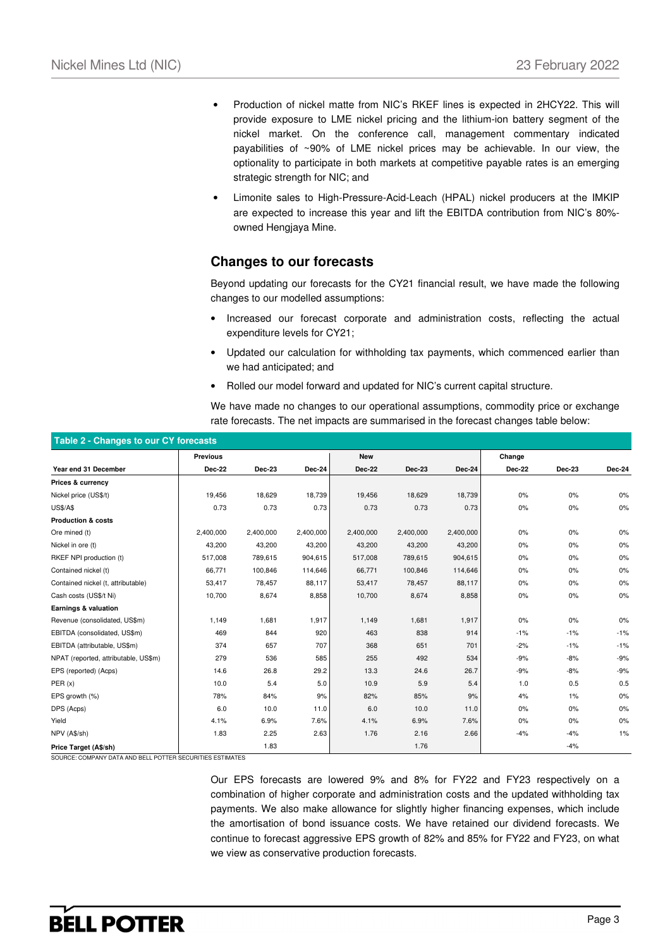- Production of nickel matte from NIC's RKEF lines is expected in 2HCY22. This will provide exposure to LME nickel pricing and the lithium-ion battery segment of the nickel market. On the conference call, management commentary indicated payabilities of ~90% of LME nickel prices may be achievable. In our view, the optionality to participate in both markets at competitive payable rates is an emerging strategic strength for NIC; and
- Limonite sales to High-Pressure-Acid-Leach (HPAL) nickel producers at the IMKIP are expected to increase this year and lift the EBITDA contribution from NIC's 80% owned Hengjaya Mine.

### **Changes to our forecasts**

Beyond updating our forecasts for the CY21 financial result, we have made the following changes to our modelled assumptions:

- Increased our forecast corporate and administration costs, reflecting the actual expenditure levels for CY21;
- Updated our calculation for withholding tax payments, which commenced earlier than we had anticipated; and
- Rolled our model forward and updated for NIC's current capital structure.

We have made no changes to our operational assumptions, commodity price or exchange rate forecasts. The net impacts are summarised in the forecast changes table below:

| Table 2 - Changes to our CY forecasts |                 |           |           |               |               |           |               |        |        |  |
|---------------------------------------|-----------------|-----------|-----------|---------------|---------------|-----------|---------------|--------|--------|--|
|                                       | <b>Previous</b> |           |           | <b>New</b>    |               |           | Change        |        |        |  |
| Year end 31 December                  | Dec-22          | Dec-23    | Dec-24    | <b>Dec-22</b> | <b>Dec-23</b> | Dec-24    | <b>Dec-22</b> | Dec-23 | Dec-24 |  |
| Prices & currency                     |                 |           |           |               |               |           |               |        |        |  |
| Nickel price (US\$/t)                 | 19,456          | 18,629    | 18,739    | 19,456        | 18,629        | 18,739    | 0%            | 0%     | $0\%$  |  |
| <b>US\$/A\$</b>                       | 0.73            | 0.73      | 0.73      | 0.73          | 0.73          | 0.73      | 0%            | 0%     | 0%     |  |
| <b>Production &amp; costs</b>         |                 |           |           |               |               |           |               |        |        |  |
| Ore mined (t)                         | 2,400,000       | 2,400,000 | 2,400,000 | 2,400,000     | 2,400,000     | 2,400,000 | 0%            | 0%     | 0%     |  |
| Nickel in ore (t)                     | 43,200          | 43,200    | 43,200    | 43,200        | 43,200        | 43,200    | 0%            | 0%     | 0%     |  |
| RKEF NPI production (t)               | 517,008         | 789,615   | 904,615   | 517,008       | 789,615       | 904,615   | 0%            | 0%     | 0%     |  |
| Contained nickel (t)                  | 66,771          | 100,846   | 114,646   | 66,771        | 100,846       | 114,646   | 0%            | 0%     | $0\%$  |  |
| Contained nickel (t, attributable)    | 53,417          | 78,457    | 88,117    | 53,417        | 78,457        | 88,117    | 0%            | 0%     | 0%     |  |
| Cash costs (US\$/t Ni)                | 10,700          | 8,674     | 8,858     | 10,700        | 8,674         | 8,858     | 0%            | 0%     | $0\%$  |  |
| Earnings & valuation                  |                 |           |           |               |               |           |               |        |        |  |
| Revenue (consolidated, US\$m)         | 1,149           | 1,681     | 1,917     | 1,149         | 1,681         | 1,917     | 0%            | 0%     | $0\%$  |  |
| EBITDA (consolidated, US\$m)          | 469             | 844       | 920       | 463           | 838           | 914       | $-1%$         | $-1%$  | $-1%$  |  |
| EBITDA (attributable, US\$m)          | 374             | 657       | 707       | 368           | 651           | 701       | $-2%$         | $-1%$  | $-1%$  |  |
| NPAT (reported, attributable, US\$m)  | 279             | 536       | 585       | 255           | 492           | 534       | $-9%$         | $-8%$  | $-9%$  |  |
| EPS (reported) (Acps)                 | 14.6            | 26.8      | 29.2      | 13.3          | 24.6          | 26.7      | $-9%$         | $-8%$  | $-9%$  |  |
| PER(x)                                | 10.0            | 5.4       | 5.0       | 10.9          | 5.9           | 5.4       | 1.0           | 0.5    | 0.5    |  |
| EPS growth (%)                        | 78%             | 84%       | 9%        | 82%           | 85%           | 9%        | 4%            | $1\%$  | 0%     |  |
| DPS (Acps)                            | 6.0             | 10.0      | 11.0      | 6.0           | 10.0          | 11.0      | 0%            | 0%     | 0%     |  |
| Yield                                 | 4.1%            | 6.9%      | 7.6%      | 4.1%          | 6.9%          | 7.6%      | 0%            | 0%     | $0\%$  |  |
| NPV (A\$/sh)                          | 1.83            | 2.25      | 2.63      | 1.76          | 2.16          | 2.66      | $-4%$         | $-4%$  | 1%     |  |
| Price Target (A\$/sh)                 |                 | 1.83      |           |               | 1.76          |           |               | $-4%$  |        |  |

SOURCE: COMPANY DATA AND BELL POTTER SECURITIES ESTIMATES

Our EPS forecasts are lowered 9% and 8% for FY22 and FY23 respectively on a combination of higher corporate and administration costs and the updated withholding tax payments. We also make allowance for slightly higher financing expenses, which include the amortisation of bond issuance costs. We have retained our dividend forecasts. We continue to forecast aggressive EPS growth of 82% and 85% for FY22 and FY23, on what we view as conservative production forecasts.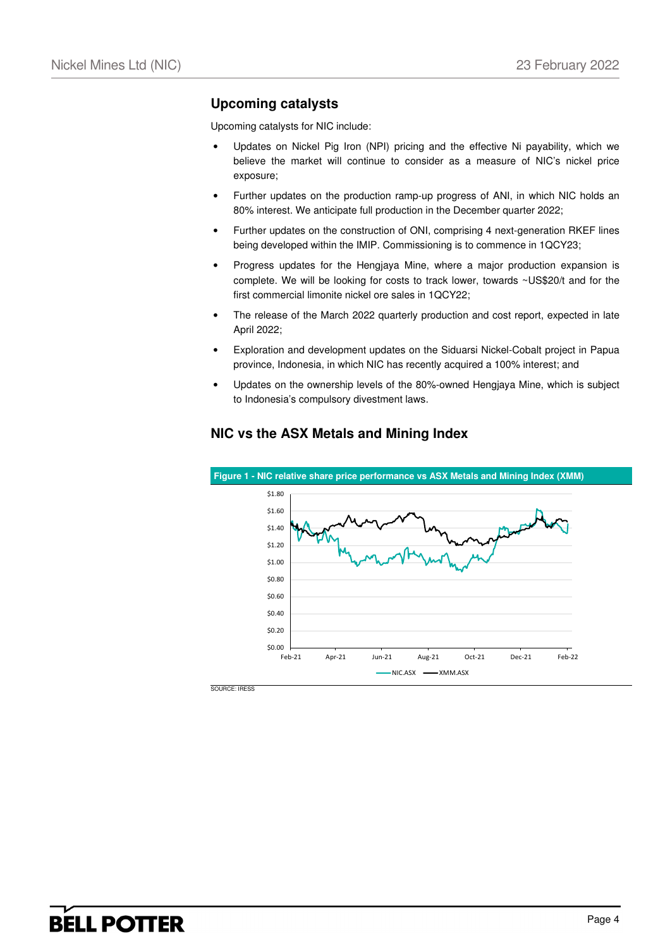### **Upcoming catalysts**

Upcoming catalysts for NIC include:

- Updates on Nickel Pig Iron (NPI) pricing and the effective Ni payability, which we believe the market will continue to consider as a measure of NIC's nickel price exposure;
- Further updates on the production ramp-up progress of ANI, in which NIC holds an 80% interest. We anticipate full production in the December quarter 2022;
- Further updates on the construction of ONI, comprising 4 next-generation RKEF lines being developed within the IMIP. Commissioning is to commence in 1QCY23;
- Progress updates for the Hengjaya Mine, where a major production expansion is complete. We will be looking for costs to track lower, towards ~US\$20/t and for the first commercial limonite nickel ore sales in 1QCY22;
- The release of the March 2022 quarterly production and cost report, expected in late April 2022;
- Exploration and development updates on the Siduarsi Nickel-Cobalt project in Papua province, Indonesia, in which NIC has recently acquired a 100% interest; and
- Updates on the ownership levels of the 80%-owned Hengjaya Mine, which is subject to Indonesia's compulsory divestment laws.



### **NIC vs the ASX Metals and Mining Index**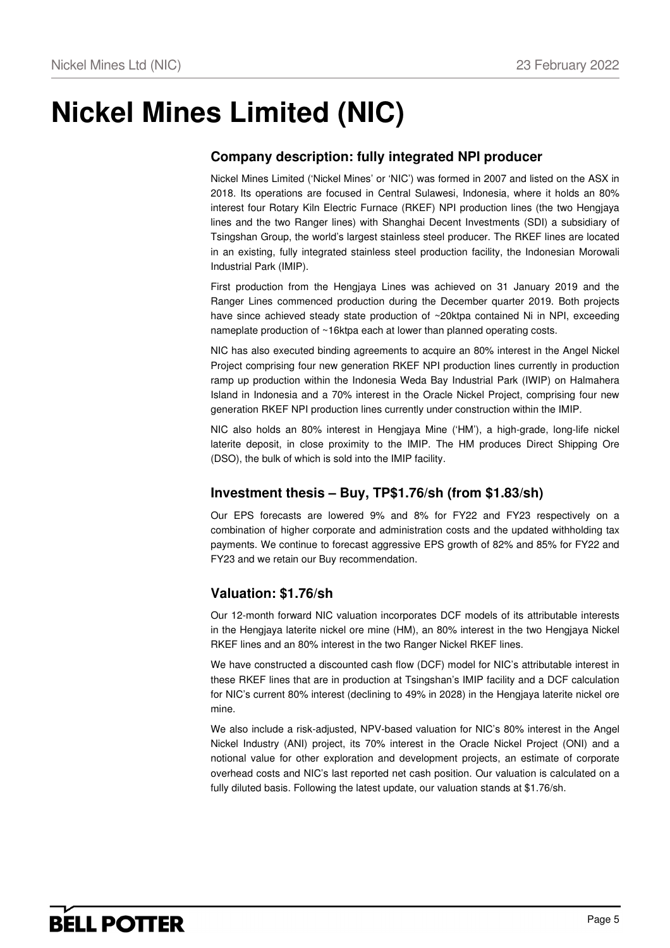# **Nickel Mines Limited (NIC)**

## **Company description: fully integrated NPI producer**

Nickel Mines Limited ('Nickel Mines' or 'NIC') was formed in 2007 and listed on the ASX in 2018. Its operations are focused in Central Sulawesi, Indonesia, where it holds an 80% interest four Rotary Kiln Electric Furnace (RKEF) NPI production lines (the two Hengjaya lines and the two Ranger lines) with Shanghai Decent Investments (SDI) a subsidiary of Tsingshan Group, the world's largest stainless steel producer. The RKEF lines are located in an existing, fully integrated stainless steel production facility, the Indonesian Morowali Industrial Park (IMIP).

First production from the Hengjaya Lines was achieved on 31 January 2019 and the Ranger Lines commenced production during the December quarter 2019. Both projects have since achieved steady state production of ~20ktpa contained Ni in NPI, exceeding nameplate production of ~16ktpa each at lower than planned operating costs.

NIC has also executed binding agreements to acquire an 80% interest in the Angel Nickel Project comprising four new generation RKEF NPI production lines currently in production ramp up production within the Indonesia Weda Bay Industrial Park (IWIP) on Halmahera Island in Indonesia and a 70% interest in the Oracle Nickel Project, comprising four new generation RKEF NPI production lines currently under construction within the IMIP.

NIC also holds an 80% interest in Hengjaya Mine ('HM'), a high-grade, long-life nickel laterite deposit, in close proximity to the IMIP. The HM produces Direct Shipping Ore (DSO), the bulk of which is sold into the IMIP facility.

### **Investment thesis – Buy, TP\$1.76/sh (from \$1.83/sh)**

Our EPS forecasts are lowered 9% and 8% for FY22 and FY23 respectively on a combination of higher corporate and administration costs and the updated withholding tax payments. We continue to forecast aggressive EPS growth of 82% and 85% for FY22 and FY23 and we retain our Buy recommendation.

### **Valuation: \$1.76/sh**

Our 12-month forward NIC valuation incorporates DCF models of its attributable interests in the Hengjaya laterite nickel ore mine (HM), an 80% interest in the two Hengjaya Nickel RKEF lines and an 80% interest in the two Ranger Nickel RKEF lines.

We have constructed a discounted cash flow (DCF) model for NIC's attributable interest in these RKEF lines that are in production at Tsingshan's IMIP facility and a DCF calculation for NIC's current 80% interest (declining to 49% in 2028) in the Hengjaya laterite nickel ore mine.

We also include a risk-adjusted, NPV-based valuation for NIC's 80% interest in the Angel Nickel Industry (ANI) project, its 70% interest in the Oracle Nickel Project (ONI) and a notional value for other exploration and development projects, an estimate of corporate overhead costs and NIC's last reported net cash position. Our valuation is calculated on a fully diluted basis. Following the latest update, our valuation stands at \$1.76/sh.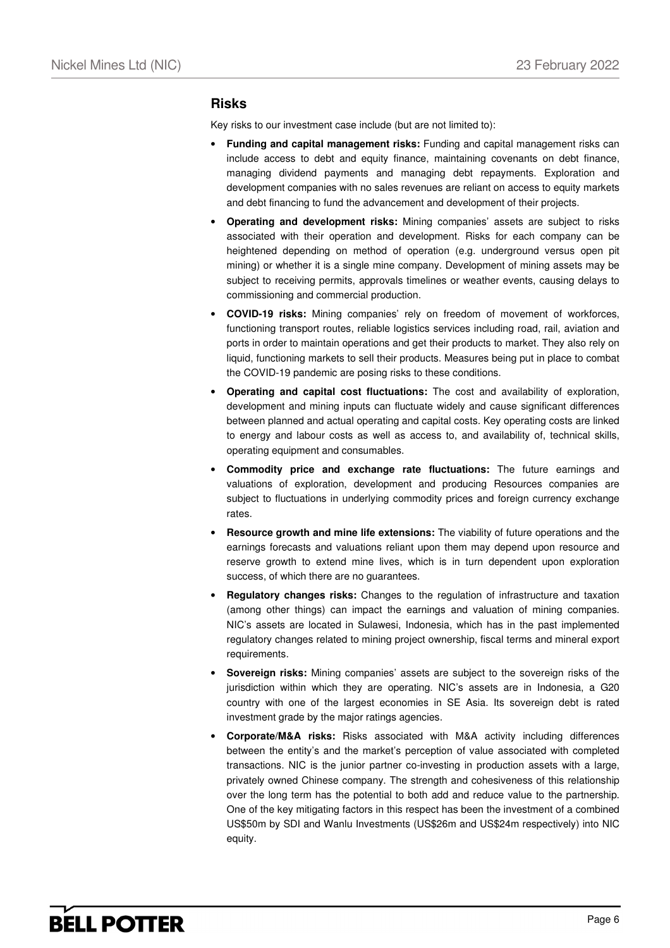#### **Risks**

Key risks to our investment case include (but are not limited to):

- **Funding and capital management risks:** Funding and capital management risks can include access to debt and equity finance, maintaining covenants on debt finance, managing dividend payments and managing debt repayments. Exploration and development companies with no sales revenues are reliant on access to equity markets and debt financing to fund the advancement and development of their projects.
- **Operating and development risks:** Mining companies' assets are subject to risks associated with their operation and development. Risks for each company can be heightened depending on method of operation (e.g. underground versus open pit mining) or whether it is a single mine company. Development of mining assets may be subject to receiving permits, approvals timelines or weather events, causing delays to commissioning and commercial production.
- **COVID-19 risks:** Mining companies' rely on freedom of movement of workforces, functioning transport routes, reliable logistics services including road, rail, aviation and ports in order to maintain operations and get their products to market. They also rely on liquid, functioning markets to sell their products. Measures being put in place to combat the COVID-19 pandemic are posing risks to these conditions.
- **Operating and capital cost fluctuations:** The cost and availability of exploration, development and mining inputs can fluctuate widely and cause significant differences between planned and actual operating and capital costs. Key operating costs are linked to energy and labour costs as well as access to, and availability of, technical skills, operating equipment and consumables.
- **Commodity price and exchange rate fluctuations:** The future earnings and valuations of exploration, development and producing Resources companies are subject to fluctuations in underlying commodity prices and foreign currency exchange rates.
- **Resource growth and mine life extensions:** The viability of future operations and the earnings forecasts and valuations reliant upon them may depend upon resource and reserve growth to extend mine lives, which is in turn dependent upon exploration success, of which there are no guarantees.
- **Regulatory changes risks:** Changes to the regulation of infrastructure and taxation (among other things) can impact the earnings and valuation of mining companies. NIC's assets are located in Sulawesi, Indonesia, which has in the past implemented regulatory changes related to mining project ownership, fiscal terms and mineral export requirements.
- **Sovereign risks:** Mining companies' assets are subject to the sovereign risks of the jurisdiction within which they are operating. NIC's assets are in Indonesia, a G20 country with one of the largest economies in SE Asia. Its sovereign debt is rated investment grade by the major ratings agencies.
- **Corporate/M&A risks:** Risks associated with M&A activity including differences between the entity's and the market's perception of value associated with completed transactions. NIC is the junior partner co-investing in production assets with a large, privately owned Chinese company. The strength and cohesiveness of this relationship over the long term has the potential to both add and reduce value to the partnership. One of the key mitigating factors in this respect has been the investment of a combined US\$50m by SDI and Wanlu Investments (US\$26m and US\$24m respectively) into NIC equity.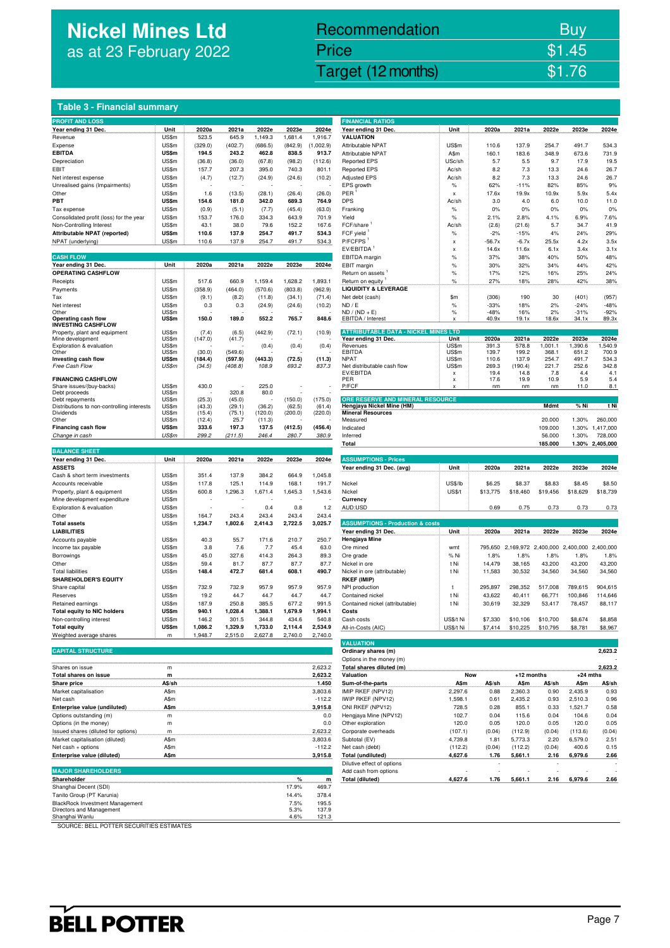# **Nickel Mines Ltd**  as at 23 February 2022

## Nickel Mines Ltd (Nickel Mines Ltd (Nickel Mines Ltd (Nickel Mines Ltd (Nickel Mines Ltd Control) \$1.76 Recommendation Buy Price \$1.45

#### **Table 3 - Financial summary**

| <b>PROFIT AND LOSS</b>                            |              |                  |                 |         |         |           | <b>FINANCIAL RATIOS</b>                     |                |          |          |                     |                |                 |
|---------------------------------------------------|--------------|------------------|-----------------|---------|---------|-----------|---------------------------------------------|----------------|----------|----------|---------------------|----------------|-----------------|
| Year ending 31 Dec.                               | Unit         | 2020a            | 2021a           | 2022e   | 2023e   | 2024e     | Year ending 31 Dec.                         | Unit           | 2020a    | 2021a    | 2022e               | 2023e          | 2024e           |
| Revenue                                           | US\$m        | 523.5            | 645.9           | 1,149.3 | 1,681.4 | 1,916.7   | .<br><b>VALUATION</b>                       |                |          |          |                     |                |                 |
|                                                   | US\$m        | (329.0)          |                 |         |         |           |                                             | US\$m          |          |          |                     |                |                 |
| Expense                                           |              |                  | (402.7)         | (686.5) | (842.9) | (1,002.9) | <b>Attributable NPAT</b>                    |                | 110.6    | 137.9    | 254.7               | 491.7          | 534.3           |
| <b>EBITDA</b>                                     | US\$m        | 194.5            | 243.2           | 462.8   | 838.5   | 913.7     | Attributable NPAT                           | A\$m           | 160.1    | 183.6    | 348.9               | 673.6          | 731.9           |
| Depreciation                                      | US\$m        | (36.8)           | (36.0)          | (67.8)  | (98.2)  | (112.6)   | <b>Reported EPS</b>                         | USc/sh         | 5.7      | 5.5      | 9.7                 | 17.9           | 19.5            |
| EBIT                                              | US\$m        | 157.7            | 207.3           | 395.0   | 740.3   | 801.1     | <b>Reported EPS</b>                         | Ac/sh          | 8.2      | 7.3      | 13.3                | 24.6           | 26.7            |
| Net interest expense                              | US\$m        | (4.7)            | (12.7)          | (24.9)  | (24.6)  | (10.2)    | <b>Adjusted EPS</b>                         | Ac/sh          | 8.2      | 7.3      | 13.3                | 24.6           | 26.7            |
| Unrealised gains (Impairments)                    | US\$m        |                  |                 |         |         |           | EPS growth                                  | $\%$           | 62%      | $-11%$   | 82%                 | 85%            | 9%              |
| Other                                             | US\$m        | 1.6              | (13.5)          | (28.1)  | (26.4)  | (26.0)    | PER                                         | x              | 17.6x    | 19.9x    | 10.9x               | 5.9x           | 5.4x            |
| PBT                                               | <b>US\$m</b> | 154.6            | 181.0           | 342.0   | 689.3   | 764.9     | <b>DPS</b>                                  | Ac/sh          | 3.0      | 4.0      | 6.0                 | 10.0           | 11.0            |
| Tax expense                                       | US\$m        | (0.9)            | (5.1)           | (7.7)   | (45.4)  | (63.0)    | Franking                                    | $\%$           | 0%       | 0%       | 0%                  | 0%             | 0%              |
| Consolidated profit (loss) for the year           | US\$m        | 153.7            | 176.0           | 334.3   | 643.9   | 701.9     | Yield                                       | $\%$           | 2.1%     | 2.8%     | 4.1%                | 6.9%           | 7.6%            |
|                                                   |              |                  |                 |         |         |           |                                             |                |          |          |                     |                |                 |
| Non-Controlling Interest                          | US\$m        | 43.1             | 38.0            | 79.6    | 152.2   | 167.6     | FCF/share                                   | Ac/sh          | (2.6)    | (21.6)   | 5.7                 | 34.7           | 41.9            |
| Attributable NPAT (reported)                      | US\$m        | 110.6            | 137.9           | 254.7   | 491.7   | 534.3     | FCF yield                                   | $\%$           | $-2%$    | $-15%$   | 4%                  | 24%            | 29%             |
| NPAT (underlying)                                 | US\$m        | 110.6            | 137.9           | 254.7   | 491.7   | 534.3     | P/FCFPS <sup>1</sup>                        | x              | $-56.7x$ | $-6.7x$  | 25.5x               | 4.2x           | 3.5x            |
|                                                   |              |                  |                 |         |         |           | EV/EBITDA <sup>1</sup>                      | X              | 14.6x    | 11.6x    | 6.1x                | 3.4x           | 3.1x            |
| <b>CASH FLOW</b>                                  |              |                  |                 |         |         |           | EBITDA margin                               | $\%$           | 37%      | 38%      | 40%                 | 50%            | 48%             |
| Year ending 31 Dec.                               | Unit         | 2020a            | 2021a           | 2022e   | 2023e   | 2024e     | EBIT margin                                 | $\%$           | 30%      | 32%      | 34%                 | 44%            | 42%             |
| <b>OPERATING CASHFLOW</b>                         |              |                  |                 |         |         |           | Return on assets                            | $\%$           | 17%      | 12%      | 16%                 | 25%            | 24%             |
| Receipts                                          | US\$m        | 517.6            | 660.9           | 1,159.4 | 1,628.2 | 1,893.1   | Return on equity                            | $\%$           | 27%      | 18%      | 28%                 | 42%            | 38%             |
| Payments                                          | US\$m        | (358.9)          | (464.0)         | (570.6) | (803.8) | (962.9)   | <b>LIQUIDITY &amp; LEVERAGE</b>             |                |          |          |                     |                |                 |
|                                                   |              |                  |                 |         |         |           |                                             |                |          |          |                     |                |                 |
| Tax                                               | US\$m        | (9.1)            | (8.2)           | (11.8)  | (34.1)  | (71.4)    | Net debt (cash)                             | \$m            | (306)    | 190      | 30                  | (401)          | (957)           |
| Net interest                                      | US\$m        | 0.3              | 0.3             | (24.9)  | (24.6)  | (10.2)    | ND / E                                      | $\%$           | $-33%$   | 18%      | 2%                  | $-24%$         | $-48%$          |
| Other                                             | US\$m        |                  |                 |         |         |           | $ND / (ND + E)$                             | $\%$           | $-48%$   | 16%      | 2%                  | $-31%$         | $-92%$          |
| Operating cash flow                               | US\$m        | 150.0            | 189.0           | 552.2   | 765.7   | 848.6     | EBITDA / Interest                           |                | 40.9x    | 19.1x    | 18.6x               | 34.1x          | 89.3x           |
| <b>INVESTING CASHFLOW</b>                         | US\$m        |                  |                 |         |         |           | <b>ATTRIBUTABLE DATA - NICKEL MINES LTD</b> |                |          |          |                     |                |                 |
| Property, plant and equipment<br>Mine development | US\$m        | (7.4)<br>(147.0) | (6.5)<br>(41.7) | (442.9) | (72.1)  | (10.9)    | Year ending 31 Dec.                         | Unit           | 2020a    | 2021a    | 2022e               | 2023e          | 2024e           |
| Exploration & evaluation                          | US\$m        |                  |                 | (0.4)   | (0.4)   | (0.4)     | Revenues                                    | US\$m          | 391.3    | 578.8    | 1,001.1             | 1,390.6        | 1,540.9         |
| Other                                             | US\$m        | (30.0)           | (549.6)         |         |         |           | <b>FBITDA</b>                               | US\$m          | 139.7    | 199.2    | 368.1               | 651.2          | 700.9           |
| Investing cash flow                               | US\$m        | (184.4)          | (597.9)         | (443.3) | (72.5)  | (11.3)    | <b>NPAT</b>                                 | US\$m          | 110.6    | 137.9    | 254.7               | 491.7          | 534.3           |
| Free Cash Flow                                    | US\$m        | (34.5)           | (408.8)         | 108.9   | 693.2   | 837.3     | Net distributable cash flow                 | US\$m          | 269.3    | (190.4)  | 221.7               | 252.6          | 342.8           |
|                                                   |              |                  |                 |         |         |           | EV/EBITDA                                   | $\pmb{\times}$ | 19.4     | 14.8     | 7.8                 | 4.4            | 4.1             |
| <b>FINANCING CASHFLOW</b>                         |              |                  |                 |         |         |           | PER                                         | x              | 17.6     | 19.9     | 10.9                | 5.9            | 5.4             |
| Share issues/(buy-backs)                          | US\$m        | 430.0            |                 | 225.0   |         |           | P/FCF                                       |                | nm       | nm       | nm                  | 11.0           | 8.1             |
| Debt proceeds                                     | US\$m        |                  | 320.8           | 80.0    |         |           |                                             |                |          |          |                     |                |                 |
| Debt repayments                                   | US\$m        | (25.3)           | (45.0)          |         | (150.0) | (175.0)   | ORE RESERVE AND MINERAL RESOURCE            |                |          |          |                     |                |                 |
| Distributions to non-controlling interests        | US\$m        | (43.3)           | (29.1)          | (36.2)  | (62.5)  | (61.4)    | Hengjaya Nickel Mine (HM)                   |                |          |          | Mdmt                | % Ni           | t Ni            |
| Dividends                                         | US\$m        | (15.4)           | (75.1)          | (120.0) | (200.0) | (220.0)   | <b>Mineral Resources</b>                    |                |          |          |                     |                |                 |
| Other                                             | US\$m        | (12.4)           | 25.7            | (11.3)  |         |           | Measured                                    |                |          |          | 20.000              | 1.30%          | 260,000         |
| Financing cash flow                               | US\$m        | 333.6            | 197.3           | 137.5   | (412.5) | (456.4)   | Indicated                                   |                |          |          | 109.000             | 1.30%          | 1,417,000       |
| Change in cash                                    | US\$m        | 299.2            | (211.5)         | 246.4   | 280.7   | 380.9     | Inferred                                    |                |          |          | 56.000              | 1.30%          | 728,000         |
|                                                   |              |                  |                 |         |         |           | Total                                       |                |          |          | 185.000             |                | 1.30% 2,405,000 |
| <b>BALANCE SHEET</b>                              |              |                  |                 |         |         |           |                                             |                |          |          |                     |                |                 |
| Year ending 31 Dec.                               | Unit         | 2020a            | 2021a           | 2022e   | 2023e   | 2024e     | <b>ASSUMPTIONS - Prices</b>                 |                |          |          |                     |                |                 |
| <b>ASSETS</b>                                     |              |                  |                 |         |         |           | Year ending 31 Dec. (avg)                   | Unit           | 2020a    | 2021a    | 2022e               | 2023e          | 2024e           |
| Cash & short term investments                     | US\$m        | 351.4            | 137.9           | 384.2   | 664.9   | 1,045.8   |                                             |                |          |          |                     |                |                 |
|                                                   | US\$m        | 117.8            | 125.1           | 114.9   | 168.1   |           |                                             | <b>US\$/lb</b> | \$6.25   |          |                     |                | \$8.50          |
| Accounts receivable                               |              |                  |                 |         |         | 191.7     | Nickel                                      |                |          | \$8.37   | \$8.83              | \$8.45         |                 |
| Property, plant & equipment                       | US\$m        | 600.8            | 1,296.3         | 1,671.4 | 1,645.3 | 1,543.6   | Nickel                                      | US\$/t         | \$13,775 | \$18,460 | \$19,456            | \$18,629       | \$18,739        |
| Mine development expenditure                      | US\$m        |                  |                 |         |         |           | Currency                                    |                |          |          |                     |                |                 |
| Exploration & evaluation                          | US\$m        |                  |                 | 0.4     | 0.8     | 1.2       | AUD:USD                                     |                | 0.69     | 0.75     | 0.73                | 0.73           | 0.73            |
| Other                                             | US\$m        | 164.7            | 243.4           | 243.4   | 243.4   | 243.4     |                                             |                |          |          |                     |                |                 |
| <b>Total assets</b>                               | US\$m        | 1,234.7          | 1,802.6         | 2,414.3 | 2,722.5 | 3,025.7   | <b>ASSUMPTIONS - Production &amp; costs</b> |                |          |          |                     |                |                 |
| <b>LIABILITIES</b>                                |              |                  |                 |         |         |           | Year ending 31 Dec.                         | Unit           | 2020a    | 2021a    | 2022e               | 2023e          | 2024e           |
| Accounts payable                                  | US\$m        | 40.3             | 55.7            | 171.6   | 210.7   | 250.7     | Hengjaya Mine                               |                |          |          |                     |                |                 |
| Income tax payable                                | US\$m        | 3.8              | 7.6             | 7.7     | 45.4    | 63.0      | Ore mined                                   | wmt            | 795,650  |          | 2,169,972 2,400,000 | 2,400,000      | 2,400,000       |
|                                                   |              |                  |                 | 414.3   | 264.3   |           |                                             |                |          |          |                     |                |                 |
| Borrowings                                        |              |                  |                 |         |         | 89.3      | Ore grade                                   | % Ni           | 1.8%     | 1.8%     | 1.8%                | 1.8%<br>43,200 | 1.8%            |
|                                                   | US\$m        | 45.0             | 327.6           |         |         |           |                                             |                |          |          |                     |                | 43,200          |
| Other                                             | US\$m        | 59.4             | 81.7            | 87.7    | 87.7    | 87.7      | Nickel in ore                               | t Ni           | 14,479   | 38,165   | 43,200              |                |                 |
| <b>Total liabilities</b>                          | US\$m        | 148.4            | 472.7           | 681.4   | 608.1   | 490.7     | Nickel in ore (attributable)                | t Ni           | 11,583   | 30,532   | 34,560              | 34,560         | 34,560          |
| <b>SHAREHOLDER'S EQUITY</b>                       |              |                  |                 |         |         |           | <b>RKEF (IMIP)</b>                          |                |          |          |                     |                |                 |
| Share capita                                      | US\$m        | 732.9            | 732.9           | 957.9   | 957.9   | 957.9     | NPI production                              | t              | 295,897  | 298,352  | 517,008             | 789,615        | 904,615         |
|                                                   |              |                  |                 |         |         |           |                                             |                |          |          |                     |                |                 |
| Reserves                                          | US\$m        | 19.2             | 44.7            | 44.7    | 44.7    | 44.7      | Contained nickel                            | t Ni           | 43,622   | 40,411   | 66,771              | 100,846        | 114,646         |
| Retained earnings                                 | US\$m        | 187.9            | 250.8           | 385.5   | 677.2   | 991.5     | Contained nickel (attributable)             | t Ni           | 30,619   | 32,329   | 53,417              | 78,457         | 88,117          |
| <b>Total equity to NIC holders</b>                | US\$m        | 940.1            | 1,028.4         | 1,388.1 | 1,679.9 | 1,994.1   | Costs                                       |                |          |          |                     |                |                 |
| Non-controlling interest                          | US\$m        | 146.2            | 301.5           | 344.8   | 434.6   | 540.8     | Cash costs                                  | US\$/t Ni      | \$7,330  | \$10,106 | \$10,700            | \$8,674        | \$8,858         |
| <b>Total equity</b>                               | <b>US\$m</b> | 1,086.2          | 1,329.9         | 1,733.0 | 2,114.4 | 2,534.9   | All-in-Costs (AIC)                          | US\$/t Ni      | \$7,414  | \$10,225 | \$10,795            | \$8,781        | \$8,967         |
| Weighted average shares                           | m            | 1,948.7          | 2,515.0         | 2,627.8 | 2,740.0 | 2,740.0   |                                             |                |          |          |                     |                |                 |
|                                                   |              |                  |                 |         |         |           | <b>VALUATION</b>                            |                |          |          |                     |                |                 |
| <b>CAPITAL STRUCTURE</b>                          |              |                  |                 |         |         |           | Ordinary shares (m)                         |                |          |          |                     |                | 2,623.2         |
|                                                   |              |                  |                 |         |         |           | Options in the money (m)                    |                |          |          |                     |                |                 |

| <b>Table 3 - Financial summary</b>                                            |                |                  |                  |                    |                      |                         |                                                               |                           |                    |                             |                    |                    |                      |
|-------------------------------------------------------------------------------|----------------|------------------|------------------|--------------------|----------------------|-------------------------|---------------------------------------------------------------|---------------------------|--------------------|-----------------------------|--------------------|--------------------|----------------------|
| <b>PROFIT AND LOSS</b>                                                        |                |                  |                  |                    |                      |                         | <b>FINANCIAL RATIOS</b>                                       |                           |                    |                             |                    |                    |                      |
| Year ending 31 Dec.<br>.                                                      | Unit           | 2020a<br>523.5   | 2021a<br>645.9   | 2022e              | 2023e                | 2024e<br>1,916.7        | Year ending 31 Dec.<br><b>VALUATION</b>                       | Unit                      | 2020a              | 2021a                       | 2022e              | 2023e              | 2024e                |
| Revenue<br>Expense                                                            | US\$m<br>US\$m | (329.0)          | (402.7)          | 1,149.3<br>(686.5) | 1,681.4<br>(842.9)   | (1,002.9)               | Attributable NPAT                                             | US\$m                     | 110.6              | 137.9                       | 254.7              | 491.7              | 534.3                |
| <b>EBITDA</b>                                                                 | US\$m          | 194.5            | 243.2            | 462.8              | 838.5                | 913.7                   | Attributable NPAT                                             | A\$m                      | 160.1              | 183.6                       | 348.9              | 673.6              | 731.9                |
| Depreciation<br>EBIT                                                          | US\$m<br>US\$m | (36.8)<br>157.7  | (36.0)<br>207.3  | (67.8)<br>395.0    | (98.2)<br>740.3      | (112.6)<br>801.1        | <b>Reported EPS</b><br><b>Reported EPS</b>                    | USc/sh<br>Ac/sh           | 5.7<br>8.2         | 5.5<br>7.3                  | 9.7<br>13.3        | 17.9<br>24.6       | 19.5<br>26.7         |
| Net interest expense                                                          | US\$m          | (4.7)            | (12.7)           | (24.9)             | (24.6)               | (10.2)                  | <b>Adjusted EPS</b>                                           | Ac/sh                     | 8.2                | 7.3                         | 13.3               | 24.6               | 26.7                 |
| Unrealised gains (Impairments)                                                | US\$m          |                  |                  |                    |                      |                         | EPS growth                                                    | $\%$                      | 62%                | $-11%$                      | 82%                | 85%                | 9%                   |
| Other<br>PBT                                                                  | US\$m<br>US\$m | 1.6<br>154.6     | (13.5)<br>181.0  | (28.1)<br>342.0    | (26.4)<br>689.3      | (26.0)<br>764.9         | PER<br><b>DPS</b>                                             | х<br>Ac/sh                | 17.6x<br>3.0       | 19.9x<br>4.0                | 10.9x<br>6.0       | 5.9x<br>10.0       | 5.4x<br>11.0         |
| Tax expense                                                                   | US\$m          | (0.9)            | (5.1)            | (7.7)              | (45.4)               | (63.0)                  | Franking                                                      | $\%$                      | 0%                 | 0%                          | 0%                 | 0%                 | 0%                   |
| Consolidated profit (loss) for the year                                       | US\$m          | 153.7            | 176.0            | 334.3              | 643.9                | 701.9                   | Yield                                                         | $\%$                      | 2.1%               | 2.8%                        | 4.1%               | 6.9%               | 7.6%                 |
| Non-Controlling Interest<br>Attributable NPAT (reported)                      | US\$m<br>US\$m | 43.1<br>110.6    | 38.0<br>137.9    | 79.6<br>254.7      | 152.2<br>491.7       | 167.6<br>534.3          | FCF/share<br>FCF yield                                        | Ac/sh<br>$\%$             | (2.6)<br>$-2%$     | (21.6)<br>$-15%$            | 5.7<br>4%          | 34.7<br>24%        | 41.9<br>29%          |
| NPAT (underlying)                                                             | US\$m          | 110.6            | 137.9            | 254.7              | 491.7                | 534.3                   | P/FCFPS <sup>1</sup>                                          | $\boldsymbol{\mathsf{x}}$ | $-56.7x$           | $-6.7x$                     | 25.5x              | 4.2x               | 3.5x                 |
| <b>CASH FLOW</b>                                                              |                |                  |                  |                    |                      |                         | EV/EBITDA                                                     | $\boldsymbol{\mathsf{x}}$ | 14.6x              | 11.6x                       | 6.1x               | 3.4x               | 3.1x                 |
| Year ending 31 Dec.                                                           | Unit           | 2020a            | 2021a            | 2022e              | 2023e                | 2024e                   | EBITDA margin<br>EBIT margin                                  | $\%$<br>$\%$              | 37%<br>30%         | 38%<br>32%                  | 40%<br>34%         | 50%<br>44%         | 48%<br>42%           |
| OPERATING CASHFLOW                                                            |                |                  |                  |                    |                      |                         | Return on assets                                              | $\%$                      | 17%                | 12%                         | 16%                | 25%                | 24%                  |
| Receipts<br>Payments                                                          | US\$m<br>US\$m | 517.6<br>(358.9) | 660.9<br>(464.0) | 1,159.4<br>(570.6) | 1,628.2<br>(803.8)   | 1,893.1<br>(962.9)      | Return on equity<br><b>LIQUIDITY &amp; LEVERAGE</b>           | $\%$                      | 27%                | 18%                         | 28%                | 42%                | 38%                  |
| Tax                                                                           | US\$m          | (9.1)            | (8.2)            | (11.8)             | (34.1)               | (71.4)                  | Net debt (cash)                                               | \$m                       | (306)              | 190                         | 30                 | (401)              | (957)                |
| Net interest                                                                  | US\$m          | 0.3              | 0.3              | (24.9)             | (24.6)               | (10.2)                  | ND / E                                                        | $\%$                      | $-33%$             | 18%                         | 2%                 | $-24%$             | $-48%$               |
| Other<br>Operating cash flow                                                  | US\$m<br>US\$m | 150.0            | 189.0            | 552.2              | 765.7                | 848.6                   | $ND / (ND + E)$<br>EBITDA / Interest                          | $\%$<br>x                 | $-48%$<br>40.9x    | 16%<br>19.1x                | 2%<br>18.6x        | $-31%$<br>34.1x    | $-92%$<br>89.3x      |
| <b>INVESTING CASHFLOW</b><br>Property, plant and equipment                    | US\$m          | (7.4)            | (6.5)            | (442.9)            | (72.1)               | (10.9)                  | <b>ATTRIBUTABLE DATA - NICKEL MINI</b>                        | <b>SLTD</b>               |                    |                             |                    |                    |                      |
| Mine development                                                              | US\$m          | (147.0)          | (41.7)           |                    |                      |                         | Year ending 31 Dec.                                           | Unit                      | 2020a              | 2021a                       | 2022e              | 2023e              | 2024e                |
| Exploration & evaluation<br>Other                                             | US\$m<br>US\$m | (30.0)           | (549.6)          | (0.4)              | (0.4)                | (0.4)                   | Revenues<br><b>EBITDA</b>                                     | US\$m<br>US\$m            | 391.3<br>139.7     | 578.8<br>199.2              | 1,001.1<br>368.1   | 1,390.6<br>651.2   | 1,540.9<br>700.9     |
| Investing cash flow                                                           | US\$m          | (184.4)          | (597.9)          | (443.3)            | (72.5)               | (11.3)                  | <b>NPAT</b>                                                   | US\$m                     | 110.6              | 137.9                       | 254.7              | 491.7              | 534.3                |
| Free Cash Flow                                                                | US\$m          | (34.5)           | (408.8)          | 108.9              | 693.2                | 837.3                   | Net distributable cash flow<br>EV/EBITDA                      | US\$m<br>$\pmb{\times}$   | 269.3<br>19.4      | (190.4)<br>14.8             | 221.7<br>7.8       | 252.6<br>4.4       | 342.8<br>4.1         |
| <b>FINANCING CASHFLOW</b>                                                     |                |                  |                  |                    |                      |                         | PER                                                           | $\boldsymbol{\mathsf{x}}$ | 17.6               | 19.9                        | 10.9               | 5.9                | 5.4                  |
| Share issues/(buy-backs)<br>Debt proceeds                                     | US\$m<br>US\$m | 430.0            | 320.8            | 225.0<br>80.0      |                      |                         | P/FCF                                                         |                           | nm                 | nm                          | nm                 | 11.0               | 8.1                  |
| Debt repayments                                                               | US\$m<br>US\$m | (25.3)           | (45.0)           |                    | (150.0)              | (175.0)                 | ORE RESERVE AND MINERAL RESOURCE<br>Hengjaya Nickel Mine (HM) |                           |                    |                             | Mdmt               | % Ni               | t Ni                 |
| Distributions to non-controlling interests<br>Dividends                       | US\$m          | (43.3)<br>(15.4) | (29.1)<br>(75.1) | (36.2)<br>(120.0)  | (62.5)<br>(200.0)    | (61.4)<br>(220.0)       | <b>Mineral Resources</b>                                      |                           |                    |                             |                    |                    |                      |
| Other<br>Financing cash flow                                                  | US\$m<br>US\$m | (12.4)<br>333.6  | 25.7<br>197.3    | (11.3)<br>137.5    | (412.5)              | (456.4)                 | Measured<br>Indicated                                         |                           |                    |                             | 20.000<br>109.000  | 1.30%<br>1.30%     | 260,000<br>1,417,000 |
| Change in cash                                                                | US\$m          | 299.2            | (211.5)          | 246.4              | 280.7                | 380.9                   | Inferred                                                      |                           |                    |                             | 56.000             | 1.30%              | 728,000              |
| <b>BALANCE SHEET</b>                                                          |                |                  |                  |                    |                      |                         | Total                                                         |                           |                    |                             | 185.000            |                    | 1.30% 2,405,000      |
|                                                                               |                |                  | 2021a            | 2022e              | 2023e                | 2024e                   | <b>ASSUMPTIONS - Prices</b>                                   |                           |                    |                             |                    |                    |                      |
| Year ending 31 Dec.                                                           | Unit           | 2020a            |                  |                    |                      |                         |                                                               |                           |                    |                             |                    |                    |                      |
| <b>ASSETS</b>                                                                 |                |                  |                  |                    |                      |                         | Year ending 31 Dec. (avg)                                     | Unit                      | 2020a              | 2021a                       | 2022e              | 2023e              | 2024e                |
| Cash & short term investments                                                 | US\$m          | 351.4            | 137.9            | 384.2              | 664.9                | 1,045.8                 |                                                               |                           |                    |                             |                    |                    |                      |
| Accounts receivable<br>Property, plant & equipment                            | US\$m<br>US\$m | 117.8<br>600.8   | 125.1<br>1,296.3 | 114.9<br>1,671.4   | 168.1<br>1,645.3     | 191.7<br>1,543.6        | Nickel<br>Nickel                                              | US\$/lb<br><b>US\$/t</b>  | \$6.25<br>\$13,775 | \$8.37<br>\$18,460          | \$8.83<br>\$19,456 | \$8.45<br>\$18,629 | \$8.50<br>\$18,739   |
| Mine development expenditure                                                  | US\$m          |                  |                  |                    |                      |                         | Currency                                                      |                           |                    |                             |                    |                    |                      |
| Exploration & evaluation                                                      | US\$m          |                  | ł,               | 0.4                | 0.8                  | 1.2                     | AUD:USD                                                       |                           | 0.69               | 0.75                        | 0.73               | 0.73               | 0.73                 |
| Other<br><b>Total assets</b>                                                  | US\$m<br>US\$m | 164.7<br>1,234.7 | 243.4<br>1,802.6 | 243.4<br>2,414.3   | 243.4<br>2,722.5     | 243.4<br>3,025.7        | <b>ASSUMPTIONS - Production &amp; costs</b>                   |                           |                    |                             |                    |                    |                      |
| <b>LIABILITIES</b>                                                            |                |                  |                  |                    |                      |                         | Year ending 31 Dec.                                           | Unit                      | 2020a              | 2021a                       | 2022e              | 2023e              | 2024e                |
| Accounts payable                                                              | US\$m          | 40.3             | 55.7             | 171.6              | 210.7                | 250.7                   | Hengjaya Mine                                                 |                           |                    |                             |                    |                    |                      |
| Income tax payable<br>Borrowings                                              | US\$m<br>US\$m | 3.8<br>45.0      | 7.6<br>327.6     | 7.7<br>414.3       | 45.4<br>264.3        | 63.0<br>89.3            | Ore mined<br>Ore grade                                        | wmt<br>% Ni               | 795,650<br>1.8%    | 2,169,972 2,400,000<br>1.8% | 1.8%               | 2,400,000<br>1.8%  | 2.400.000<br>1.8%    |
| Other                                                                         | US\$m          | 59.4             | 81.7             | 87.7               | 87.7                 | 87.7                    | Nickel in ore                                                 | t Ni                      | 14,479             | 38,165                      | 43,200             | 43,200             | 43,200               |
| <b>Total liabilities</b>                                                      | US\$m          | 148.4            | 472.7            | 681.4              | 608.1                | 490.7                   | Nickel in ore (attributable)                                  | t Ni                      | 11,583             | 30,532                      | 34,560             | 34,560             | 34,560               |
| <b>SHAREHOLDER'S EQUITY</b><br>Share capital                                  | US\$m          | 732.9            | 732.9            | 957.9              | 957.9                | 957.9                   | <b>RKEF (IMIP)</b><br>NPI production                          | ŧ                         | 295,897            | 298,352                     | 517,008            | 789,615            | 904,615              |
| Reserves                                                                      | US\$m          | 19.2             | 44.7             | 44.7               | 44.7                 | 44.7                    | Contained nickel                                              | t Ni                      | 43,622             | 40,411                      | 66,771             | 100,846            | 114,646              |
| Retained earnings                                                             | US\$m          | 187.9            | 250.8            | 385.5              | 677.2                | 991.5                   | Contained nickel (attributable)                               | t Ni                      | 30,619             | 32,329                      | 53,417             | 78,457             | 88,117               |
| <b>Total equity to NIC holders</b><br>Non-controlling interest                | US\$m<br>US\$m | 940.1<br>146.2   | 1,028.4<br>301.5 | 1,388.1<br>344.8   | 1,679.9<br>434.6     | 1,994.1<br>540.8        | Costs<br>Cash costs                                           | US\$/t Ni                 | \$7,330            | \$10,106                    | \$10,700           | \$8,674            | \$8,858              |
| <b>Total equity</b>                                                           | US\$m          | 1,086.2          | 1,329.9          | 1,733.0            | 2,114.4              | 2,534.9                 | All-in-Costs (AIC)                                            | US\$/t Ni                 | \$7,414            | \$10,225                    | \$10,795           | \$8,781            | \$8,967              |
| Weighted average shares                                                       | m              | 1,948.7          | 2,515.0          | 2,627.8            | 2,740.0              | 2,740.0                 | <b>VALUATION</b>                                              |                           |                    |                             |                    |                    |                      |
| <b>CAPITAL STRUCTURE</b>                                                      |                |                  |                  |                    |                      |                         | Ordinary shares (m)                                           |                           |                    |                             |                    |                    | 2,623.2              |
|                                                                               |                |                  |                  |                    |                      |                         | Options in the money (m)                                      |                           |                    |                             |                    |                    |                      |
| Shares on issue<br>Total shares on issue                                      | m<br>m         |                  |                  |                    |                      | 2,623.2<br>2,623.2      | Total shares diluted (m)<br>Valuation                         | Now                       |                    | +12 months                  |                    | $+24$ mths         | 2,623.2              |
| Share price                                                                   | A\$/sh         |                  |                  |                    |                      |                         | Sum-of-the-parts                                              | A\$m                      | A\$/sh             | A\$m                        | A\$/sh             | A\$m               | A\$/sh               |
| Market capitalisation                                                         | A\$m           |                  | 1.450            |                    |                      | 3,803.6                 | IMIP RKEF (NPV12)                                             | 2,297.6                   | 0.88               | 2,360.3                     | 0.90               | 2,435.9            | 0.93                 |
| Net cash<br>Enterprise value (undiluted)                                      | A\$m<br>A\$m   |                  |                  |                    |                      | $-112.2$<br>3,915.8     | IWIP RKEF (NPV12)                                             | 1,598.1<br>728.5          | 0.61<br>0.28       | 2,435.2<br>855.1            | 0.93<br>0.33       | 2,510.3            | 0.96<br>0.58         |
| Options outstanding (m)                                                       | m              |                  |                  |                    |                      | 0.0                     | ONI RKEF (NPV12)<br>Hengjaya Mine (NPV12)                     | 102.7                     | 0.04               | 115.6                       | 0.04               | 1,521.7<br>104.6   | 0.04                 |
| Options (in the money)                                                        | m              |                  |                  |                    |                      | 0.0                     | Other exploration                                             | 120.0                     | 0.05               | 120.0                       | 0.05               | 120.0              | 0.05                 |
| Issued shares (diluted for options)                                           | m              |                  |                  |                    |                      | 2,623.2                 | Corporate overheads                                           | (107.1)                   | (0.04)             | (112.9)                     | (0.04)             | (113.6)            | (0.04)               |
| Market capitalisation (diluted)<br>Net cash + options                         | A\$m<br>A\$m   |                  |                  |                    |                      | 3,803.6<br>$-112.2$     | Subtotal (EV)<br>Net cash (debt)                              | 4,739.8<br>(112.2)        | 1.81<br>(0.04)     | 5,773.3<br>(112.2)          | 2.20<br>(0.04)     | 6,579.0<br>400.6   | 2.51<br>0.15         |
| Enterprise value (diluted)                                                    | A\$m           |                  |                  |                    |                      | 3,915.8                 | <b>Total (undiluted)</b>                                      | 4,627.6                   | 1.76               | 5,661.1                     | 2.16               | 6,979.6            | 2.66                 |
|                                                                               |                |                  |                  |                    |                      |                         | Dilutive effect of options                                    |                           |                    |                             |                    |                    |                      |
| <b>MAJOR SHAREHOLDERS</b><br>Shareholder                                      |                |                  |                  |                    | $\%$                 | $\mathsf{m}$            | Add cash from options<br><b>Total (diluted)</b>               | 4,627.6                   | 1.76               | 5,661.1                     | 2.16               | 6,979.6            | 2.66                 |
| Shanghai Decent (SDI)                                                         |                |                  |                  |                    | 17.9%                | 469.7                   |                                                               |                           |                    |                             |                    |                    |                      |
| Tanito Group (PT Karunia)                                                     |                |                  |                  |                    | 14.4%                | 378.4                   |                                                               |                           |                    |                             |                    |                    |                      |
| BlackRock Investment Management<br>Directors and Management<br>Shanghai Wanlu |                |                  |                  |                    | 7.5%<br>5.3%<br>4.6% | 195.5<br>137.9<br>121.3 |                                                               |                           |                    |                             |                    |                    |                      |

| SOURCE: RELL POTTER SECURITIES ESTIMATES |  |  |
|------------------------------------------|--|--|

SOURCE: BELL POTTER SECURITIES ESTIMATES

# **BELL POTTER**